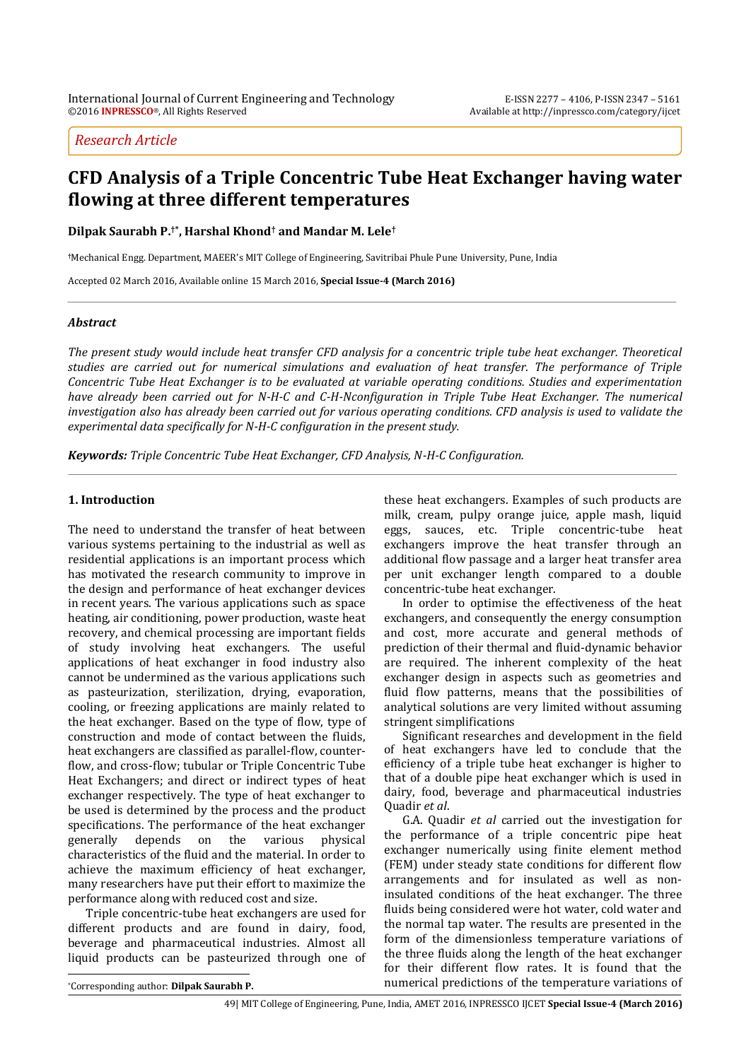## *Research Article*

# **CFD Analysis of a Triple Concentric Tube Heat Exchanger having water flowing at three different temperatures**

**Dilpak Saurabh P.†\* , Harshal Khond† and Mandar M. Lele†**

**†**Mechanical Engg. Department, MAEER's MIT College of Engineering, Savitribai Phule Pune University, Pune, India

Accepted 02 March 2016, Available online 15 March 2016, **Special Issue-4 (March 2016)**

## *Abstract*

*The present study would include heat transfer CFD analysis for a concentric triple tube heat exchanger. Theoretical studies are carried out for numerical simulations and evaluation of heat transfer. The performance of Triple Concentric Tube Heat Exchanger is to be evaluated at variable operating conditions. Studies and experimentation have already been carried out for N-H-C and C-H-Nconfiguration in Triple Tube Heat Exchanger. The numerical investigation also has already been carried out for various operating conditions. CFD analysis is used to validate the experimental data specifically for N-H-C configuration in the present study.*

*Keywords: Triple Concentric Tube Heat Exchanger, CFD Analysis, N-H-C Configuration.*

## **1. Introduction**

The need to understand the transfer of heat between various systems pertaining to the industrial as well as residential applications is an important process which has motivated the research community to improve in the design and performance of heat exchanger devices in recent years. The various applications such as space heating, air conditioning, power production, waste heat recovery, and chemical processing are important fields of study involving heat exchangers. The useful applications of heat exchanger in food industry also cannot be undermined as the various applications such as pasteurization, sterilization, drying, evaporation, cooling, or freezing applications are mainly related to the heat exchanger. Based on the type of flow, type of construction and mode of contact between the fluids, heat exchangers are classified as parallel-flow, counterflow, and cross-flow; tubular or Triple Concentric Tube Heat Exchangers; and direct or indirect types of heat exchanger respectively. The type of heat exchanger to be used is determined by the process and the product specifications. The performance of the heat exchanger generally depends on the various physical characteristics of the fluid and the material. In order to achieve the maximum efficiency of heat exchanger, many researchers have put their effort to maximize the performance along with reduced cost and size.

Triple concentric-tube heat exchangers are used for different products and are found in dairy, food, beverage and pharmaceutical industries. Almost all liquid products can be pasteurized through one of these heat exchangers. Examples of such products are milk, cream, pulpy orange juice, apple mash, liquid eggs, sauces, etc. Triple concentric-tube heat exchangers improve the heat transfer through an additional flow passage and a larger heat transfer area per unit exchanger length compared to a double concentric-tube heat exchanger.

In order to optimise the effectiveness of the heat exchangers, and consequently the energy consumption and cost, more accurate and general methods of prediction of their thermal and fluid-dynamic behavior are required. The inherent complexity of the heat exchanger design in aspects such as geometries and fluid flow patterns, means that the possibilities of analytical solutions are very limited without assuming stringent simplifications

Significant researches and development in the field of heat exchangers have led to conclude that the efficiency of a triple tube heat exchanger is higher to that of a double pipe heat exchanger which is used in dairy, food, beverage and pharmaceutical industries Quadir *et al*.

G.A. Quadir *et al* carried out the investigation for the performance of a triple concentric pipe heat exchanger numerically using finite element method (FEM) under steady state conditions for different flow arrangements and for insulated as well as noninsulated conditions of the heat exchanger. The three fluids being considered were hot water, cold water and the normal tap water. The results are presented in the form of the dimensionless temperature variations of the three fluids along the length of the heat exchanger for their different flow rates. It is found that the numerical predictions of the temperature variations of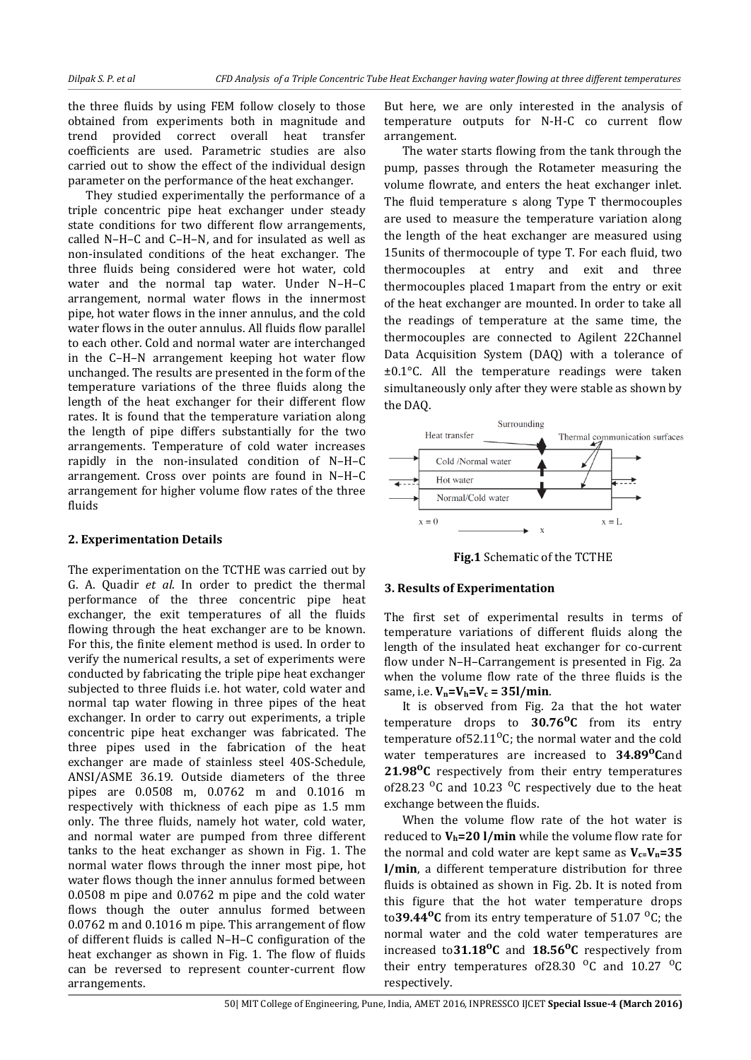the three fluids by using FEM follow closely to those obtained from experiments both in magnitude and trend provided correct overall heat transfer coefficients are used. Parametric studies are also carried out to show the effect of the individual design parameter on the performance of the heat exchanger.

They studied experimentally the performance of a triple concentric pipe heat exchanger under steady state conditions for two different flow arrangements, called N–H–C and C–H–N, and for insulated as well as non-insulated conditions of the heat exchanger. The three fluids being considered were hot water, cold water and the normal tap water. Under N–H–C arrangement, normal water flows in the innermost pipe, hot water flows in the inner annulus, and the cold water flows in the outer annulus. All fluids flow parallel to each other. Cold and normal water are interchanged in the C–H–N arrangement keeping hot water flow unchanged. The results are presented in the form of the temperature variations of the three fluids along the length of the heat exchanger for their different flow rates. It is found that the temperature variation along the length of pipe differs substantially for the two arrangements. Temperature of cold water increases rapidly in the non-insulated condition of N–H–C arrangement. Cross over points are found in N–H–C arrangement for higher volume flow rates of the three fluids

#### **2. Experimentation Details**

The experimentation on the TCTHE was carried out by G. A. Quadir *et al*. In order to predict the thermal performance of the three concentric pipe heat exchanger, the exit temperatures of all the fluids flowing through the heat exchanger are to be known. For this, the finite element method is used. In order to verify the numerical results, a set of experiments were conducted by fabricating the triple pipe heat exchanger subjected to three fluids i.e. hot water, cold water and normal tap water flowing in three pipes of the heat exchanger. In order to carry out experiments, a triple concentric pipe heat exchanger was fabricated. The three pipes used in the fabrication of the heat exchanger are made of stainless steel 40S-Schedule, ANSI/ASME 36.19. Outside diameters of the three pipes are 0.0508 m, 0.0762 m and 0.1016 m respectively with thickness of each pipe as 1.5 mm only. The three fluids, namely hot water, cold water, and normal water are pumped from three different tanks to the heat exchanger as shown in Fig. 1. The normal water flows through the inner most pipe, hot water flows though the inner annulus formed between 0.0508 m pipe and 0.0762 m pipe and the cold water flows though the outer annulus formed between 0.0762 m and 0.1016 m pipe. This arrangement of flow of different fluids is called N–H–C configuration of the heat exchanger as shown in Fig. 1. The flow of fluids can be reversed to represent counter-current flow arrangements.

But here, we are only interested in the analysis of temperature outputs for N-H-C co current flow arrangement.

The water starts flowing from the tank through the pump, passes through the Rotameter measuring the volume flowrate, and enters the heat exchanger inlet. The fluid temperature s along Type T thermocouples are used to measure the temperature variation along the length of the heat exchanger are measured using 15units of thermocouple of type T. For each fluid, two thermocouples at entry and exit and three thermocouples placed 1mapart from the entry or exit of the heat exchanger are mounted. In order to take all the readings of temperature at the same time, the thermocouples are connected to Agilent 22Channel Data Acquisition System (DAQ) with a tolerance of ±0.1°C. All the temperature readings were taken simultaneously only after they were stable as shown by the DAQ.



**Fig.1** Schematic of the TCTHE

#### **3. Results of Experimentation**

The first set of experimental results in terms of temperature variations of different fluids along the length of the insulated heat exchanger for co-current flow under N–H–Carrangement is presented in Fig. 2a when the volume flow rate of the three fluids is the same, i.e.  $V_n = V_h = V_c = 35l/min$ .

It is observed from Fig. 2a that the hot water temperature drops to **30.76ᴼC** from its entry temperature of  $52.11^{\circ}$ C; the normal water and the cold water temperatures are increased to **34.89ᴼC**and **21.98ᴼC** respectively from their entry temperatures of28.23  $\mathrm{^0C}$  and 10.23  $\mathrm{^0C}$  respectively due to the heat exchange between the fluids.

When the volume flow rate of the hot water is reduced to **Vh=20 l/min** while the volume flow rate for the normal and cold water are kept same as  $V_c = V_n = 35$ **l/min**, a different temperature distribution for three fluids is obtained as shown in Fig. 2b. It is noted from this figure that the hot water temperature drops to**39.44ᴼC** from its entry temperature of 51.07 ᴼC; the normal water and the cold water temperatures are increased to**31.18ᴼC** and **18.56ᴼC** respectively from their entry temperatures of 28.30  $\,^{\circ}$ C and 10.27  $\,^{\circ}$ C respectively.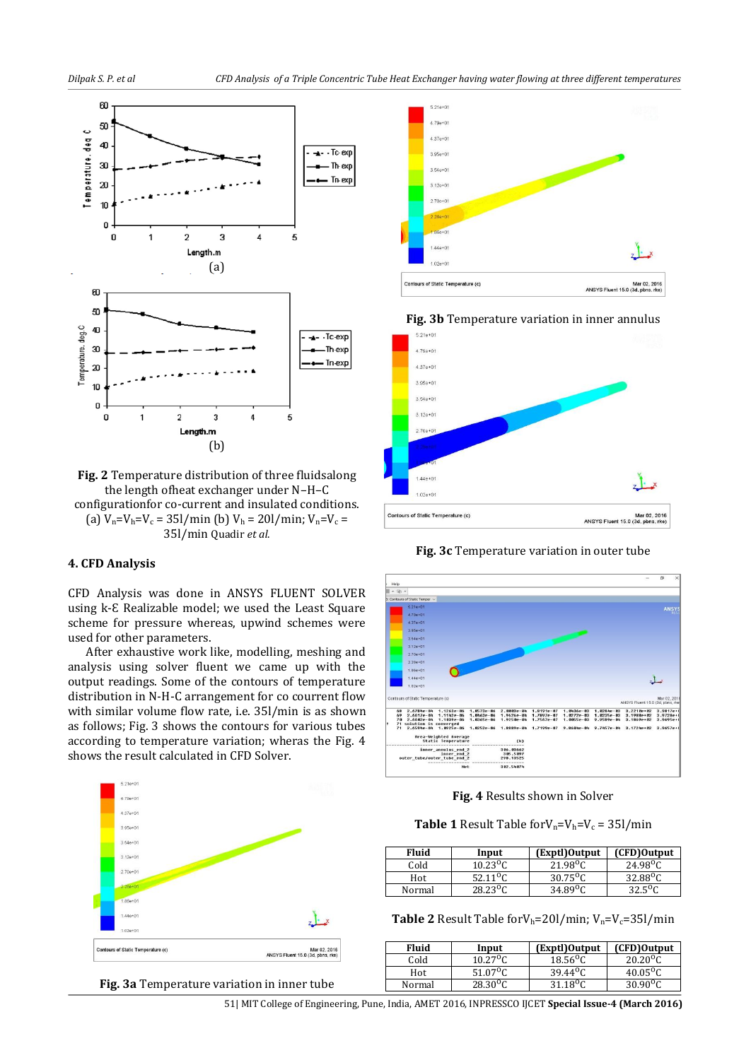

**Fig. 2** Temperature distribution of three fluidsalong the length ofheat exchanger under N–H–C configurationfor co-current and insulated conditions. (a)  $V_n = V_h = V_c = 351/min$  (b)  $V_h = 201/min$ ;  $V_n = V_c =$ 35l/min Quadir *et al*.

## **4. CFD Analysis**

CFD Analysis was done in ANSYS FLUENT SOLVER using k- $\epsilon$  Realizable model; we used the Least Square scheme for pressure whereas, upwind schemes were used for other parameters.

After exhaustive work like, modelling, meshing and analysis using solver fluent we came up with the output readings. Some of the contours of temperature distribution in N-H-C arrangement for co courrent flow with similar volume flow rate, i.e. 35l/min is as shown as follows; Fig. 3 shows the contours for various tubes according to temperature variation; wheras the Fig. 4 shows the result calculated in CFD Solver.







**Fig. 3b** Temperature variation in inner annulus



**Fig. 3c** Temperature variation in outer tube



**Fig. 4** Results shown in Solver

**Table 1** Result Table for  $V_n = V_h = V_c = 351/min$ 

| Fluid  | Input                  | (Exptl)Output     | (CFD)0utput       |
|--------|------------------------|-------------------|-------------------|
| Cold   | $10.23\degree$ C       | $21.98^{\circ}$ C | $24.98^{\circ}$ C |
| Hot    | 52.11 <sup>o</sup> C   | $30.75^{\circ}$ C | $32.88^{\circ}$ C |
| Normal | $28.23^{\mathrm{o}}$ C | $34.89^{\circ}$ C | $32.5^{\circ}$ C  |

**Table 2** Result Table for  $V_h = 20$ l/min;  $V_n = V_c = 35$ l/min

| Fluid  | Input                   | (Exptl)Output        | (CFD)0utput       |
|--------|-------------------------|----------------------|-------------------|
| Cold   | $10.27^{0}C$            | $18.56^{\circ}$ C    | $20.20^{o}$ C     |
| Hot    | 51.07 $^{\mathrm{o}}$ C | $39.44^{\circ}$ C    | $40.05^{\circ}$ C |
| Normal | $28.30^{\circ}$ C       | 31.18 <sup>0</sup> C | $30.90^{\circ}$ C |

51| MIT College of Engineering, Pune, India, AMET 2016, INPRESSCO IJCET **Special Issue-4 (March 2016)**